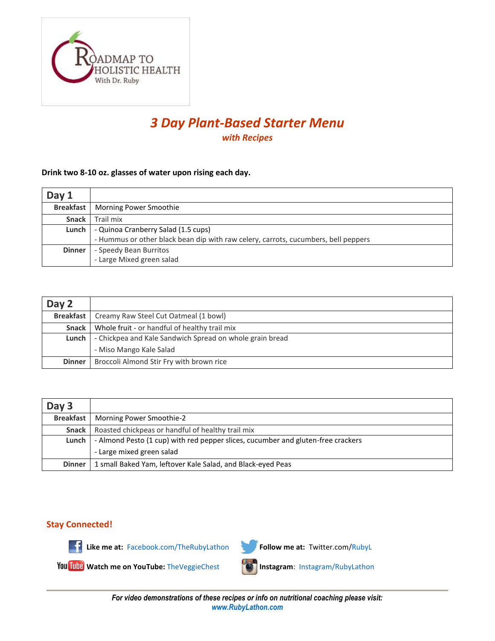

# *3 Day Plant-Based Starter Menu with Recipes*

#### **Drink two 8-10 oz. glasses of water upon rising each day.**

| Day 1            |                                                                                    |
|------------------|------------------------------------------------------------------------------------|
| <b>Breakfast</b> | Morning Power Smoothie                                                             |
| <b>Snack</b>     | Trail mix                                                                          |
| Lunch            | - Quinoa Cranberry Salad (1.5 cups)                                                |
|                  | - Hummus or other black bean dip with raw celery, carrots, cucumbers, bell peppers |
| <b>Dinner</b>    | - Speedy Bean Burritos                                                             |
|                  | - Large Mixed green salad                                                          |

| Day 2         |                                                          |
|---------------|----------------------------------------------------------|
|               | <b>Breakfast</b>   Creamy Raw Steel Cut Oatmeal (1 bowl) |
| Snack I       | Whole fruit - or handful of healthy trail mix            |
| Lunch         | - Chickpea and Kale Sandwich Spread on whole grain bread |
|               | - Miso Mango Kale Salad                                  |
| <b>Dinner</b> | Broccoli Almond Stir Fry with brown rice                 |

| Day 3         |                                                                                  |
|---------------|----------------------------------------------------------------------------------|
|               | <b>Breakfast</b>   Morning Power Smoothie-2                                      |
| Snack         | Roasted chickpeas or handful of healthy trail mix                                |
| Lunch         | - Almond Pesto (1 cup) with red pepper slices, cucumber and gluten-free crackers |
|               | - Large mixed green salad                                                        |
| <b>Dinner</b> | 1 small Baked Yam, leftover Kale Salad, and Black-eyed Peas                      |

### **Stay Connected!**



Like me at: [Facebook.com/TheRubyLathon](http://www.facebook.com/TheRubyLathon) **Follow me at:** Twitter.com[/RubyL](https://twitter.com/RubyL)



**Watch me on YouTube:** [TheVeggieChest](http://www.youtube.com/user/TheVeggieChest) **Instagram**: [Instagram/RubyLathon](http://instagram.com/rubylathon)

*For video demonstrations of these recipes or info on nutritional coaching please visit: [www.RubyLathon.com](http://www.rubylathon.com/)*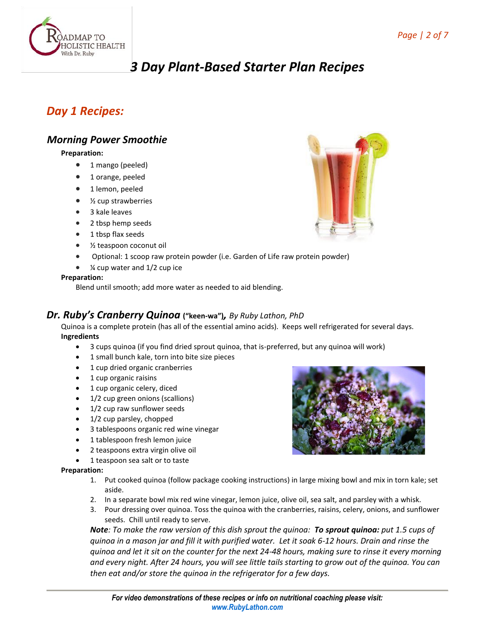

# *3 Day Plant-Based Starter Plan Recipes*

# *Day 1 Recipes:*

## *Morning Power Smoothie*

#### **Preparation:**

- 1 mango (peeled)
- 1 orange, peeled
- 1 lemon, peeled
- $\bullet$  % cup strawberries
- 3 kale leaves
- 2 tbsp hemp seeds
- 1 tbsp flax seeds
- ½ teaspoon coconut oil
- Optional: 1 scoop raw protein powder (i.e. Garden of Life raw protein powder)
- ¼ cup water and 1/2 cup ice

#### **Preparation:**

Blend until smooth; add more water as needed to aid blending.

#### *Dr. Ruby's Cranberry Quinoa* **("keen-wa")***, By Ruby Lathon, PhD*

Quinoa is a complete protein (has all of the essential amino acids). Keeps well refrigerated for several days. **Ingredients**

- 3 cups quinoa (if you find dried sprout quinoa, that is-preferred, but any quinoa will work)
- 1 small bunch kale, torn into bite size pieces
- 1 cup dried organic cranberries
- 1 cup organic raisins
- 1 cup organic celery, diced
- 1/2 cup green onions (scallions)
- 1/2 cup raw sunflower seeds
- 1/2 cup parsley, chopped
- 3 tablespoons organic red wine vinegar
- 1 tablespoon fresh lemon juice
- 2 teaspoons extra virgin olive oil
- 1 teaspoon sea salt or to taste

#### **Preparation:**

- 1. Put cooked quinoa (follow package cooking instructions) in large mixing bowl and mix in torn kale; set aside.
- 2. In a separate bowl mix red wine vinegar, lemon juice, olive oil, sea salt, and parsley with a whisk.
- 3. Pour dressing over quinoa. Toss the quinoa with the cranberries, raisins, celery, onions, and sunflower seeds. Chill until ready to serve.

*Note: To make the raw version of this dish sprout the quinoa: To sprout quinoa: put 1.5 cups of quinoa in a mason jar and fill it with purified water. Let it soak 6-12 hours. Drain and rinse the quinoa and let it sit on the counter for the next 24-48 hours, making sure to rinse it every morning and every night. After 24 hours, you will see little tails starting to grow out of the quinoa. You can then eat and/or store the quinoa in the refrigerator for a few days.*



*For video demonstrations of these recipes or info on nutritional coaching please visit: [www.RubyLathon.com](http://www.rubylathon.com/)*

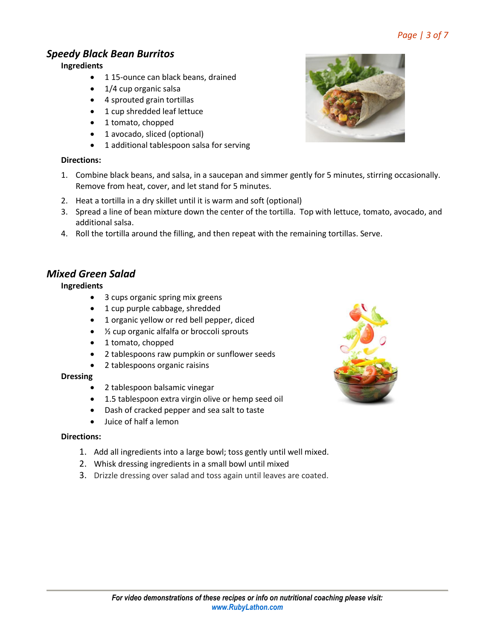# *Page | 3 of 7*

## *Speedy Black Bean Burritos*

**Ingredients**

- 115-ounce can black beans, drained
- 1/4 cup organic salsa
- 4 sprouted grain tortillas
- 1 cup shredded leaf lettuce
- 1 tomato, chopped
- 1 avocado, sliced (optional)
- 1 additional tablespoon salsa for serving

## **Directions:**

- 1. Combine black beans, and salsa, in a saucepan and simmer gently for 5 minutes, stirring occasionally. Remove from heat, cover, and let stand for 5 minutes.
- 2. Heat a tortilla in a dry skillet until it is warm and soft (optional)
- 3. Spread a line of bean mixture down the center of the tortilla. Top with lettuce, tomato, avocado, and additional salsa.
- 4. Roll the tortilla around the filling, and then repeat with the remaining tortillas. Serve.

## *Mixed Green Salad*

### **Ingredients**

- 3 cups organic spring mix greens
- 1 cup purple cabbage, shredded
- 1 organic yellow or red bell pepper, diced
- ½ cup organic alfalfa or broccoli sprouts
- 1 tomato, chopped
- 2 tablespoons raw pumpkin or sunflower seeds
- 2 tablespoons organic raisins

#### **Dressing**

- 2 tablespoon balsamic vinegar
- 1.5 tablespoon extra virgin olive or hemp seed oil
- Dash of cracked pepper and sea salt to taste
- $\bullet$  luice of half a lemon

### **Directions:**

- 1. Add all ingredients into a large bowl; toss gently until well mixed.
- 2. Whisk dressing ingredients in a small bowl until mixed
- 3. Drizzle dressing over salad and toss again until leaves are coated.



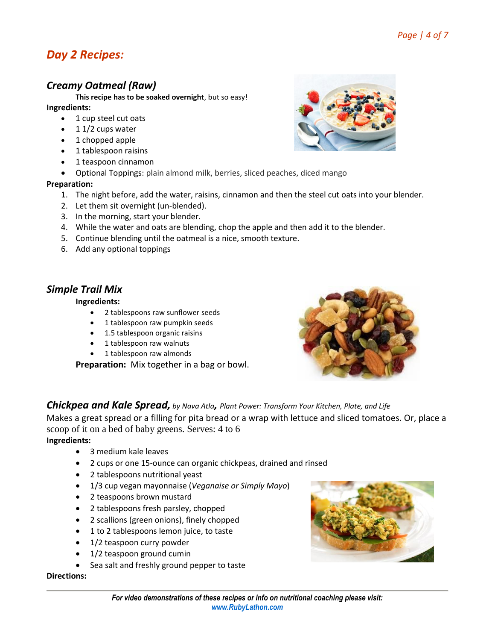# *Day 2 Recipes:*

## *Creamy Oatmeal (Raw)*

**This recipe has to be soaked overnight**, but so easy!

#### **Ingredients:**

- 1 cup steel cut oats
- $\bullet$  1 1/2 cups water
- 1 chopped apple
- 1 tablespoon raisins
- 1 teaspoon cinnamon
- Optional Toppings: plain almond milk, berries, sliced peaches, diced mango

#### **Preparation:**

- 1. The night before, add the water, raisins, cinnamon and then the steel cut oats into your blender.
- 2. Let them sit overnight (un-blended).
- 3. In the morning, start your blender.
- 4. While the water and oats are blending, chop the apple and then add it to the blender.
- 5. Continue blending until the oatmeal is a nice, smooth texture.
- 6. Add any optional toppings

## *Simple Trail Mix*

#### **Ingredients:**

- 2 tablespoons raw sunflower seeds
- 1 tablespoon raw pumpkin seeds
- 1.5 tablespoon organic raisins
- 1 tablespoon raw walnuts
- 1 tablespoon raw almonds

**Preparation:** Mix together in a bag or bowl.



*Chickpea and Kale Spread, by Nava Atla, Plant Power: Transform Your Kitchen, Plate, and Life*

Makes a great spread or a filling for pita bread or a wrap with lettuce and sliced tomatoes. Or, place a scoop of it on a bed of baby greens. Serves: 4 to 6

#### **Ingredients:**

- 3 medium kale leaves
- 2 cups or one 15-ounce can organic chickpeas, drained and rinsed
- 2 tablespoons nutritional yeast
- 1/3 cup vegan mayonnaise (*Veganaise or Simply Mayo*)
- 2 teaspoons brown mustard
- 2 tablespoons fresh parsley, chopped
- 2 scallions (green onions), finely chopped
- 1 to 2 tablespoons lemon juice, to taste
- 1/2 teaspoon curry powder
- 1/2 teaspoon ground cumin
- Sea salt and freshly ground pepper to taste

#### **Directions:**



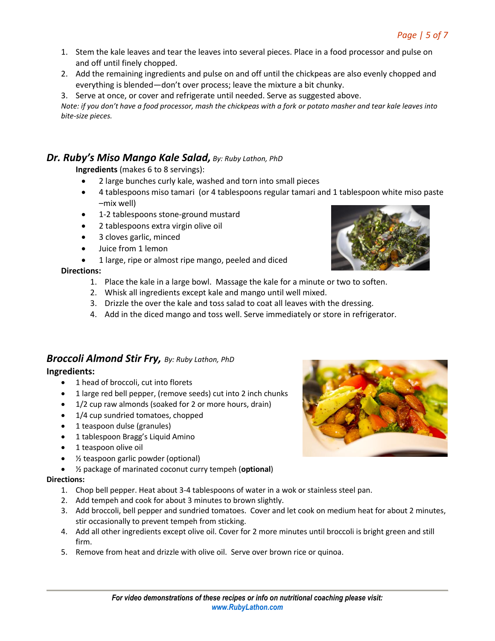- 1. Stem the kale leaves and tear the leaves into several pieces. Place in a food processor and pulse on and off until finely chopped.
- 2. Add the remaining ingredients and pulse on and off until the chickpeas are also evenly chopped and everything is blended—don't over process; leave the mixture a bit chunky.
- 3. Serve at once, or cover and refrigerate until needed. Serve as suggested above.

*Note: if you don't have a food processor, mash the chickpeas with a fork or potato masher and tear kale leaves into bite-size pieces.*

## *Dr. Ruby's Miso Mango Kale Salad, By: Ruby Lathon, PhD*

**Ingredients** (makes 6 to 8 servings):

- 2 large bunches curly kale, washed and torn into small pieces
- 4 tablespoons miso tamari (or 4 tablespoons regular tamari and 1 tablespoon white miso paste –mix well)
- 1-2 tablespoons stone-ground mustard
- 2 tablespoons extra virgin olive oil
- 3 cloves garlic, minced
- Juice from 1 lemon
- 1 large, ripe or almost ripe mango, peeled and diced

#### **Directions:**

- 1. Place the kale in a large bowl. Massage the kale for a minute or two to soften.
- 2. Whisk all ingredients except kale and mango until well mixed.
- 3. Drizzle the over the kale and toss salad to coat all leaves with the dressing.
- 4. Add in the diced mango and toss well. Serve immediately or store in refrigerator.

# *Broccoli Almond Stir Fry, By: Ruby Lathon, PhD*

**Ingredients:**

- 1 head of broccoli, cut into florets
- 1 large red bell pepper, (remove seeds) cut into 2 inch chunks
- 1/2 cup raw almonds (soaked for 2 or more hours, drain)
- 1/4 cup sundried tomatoes, chopped
- 1 teaspoon dulse (granules)
- 1 tablespoon Bragg's Liquid Amino
- 1 teaspoon olive oil
- ½ teaspoon garlic powder (optional)
- ½ package of marinated coconut curry tempeh (**optional**)

#### **Directions:**

- 1. Chop bell pepper. Heat about 3-4 tablespoons of water in a wok or stainless steel pan.
- 2. Add tempeh and cook for about 3 minutes to brown slightly.
- 3. Add broccoli, bell pepper and sundried tomatoes. Cover and let cook on medium heat for about 2 minutes, stir occasionally to prevent tempeh from sticking.
- 4. Add all other ingredients except olive oil. Cover for 2 more minutes until broccoli is bright green and still firm.
- 5. Remove from heat and drizzle with olive oil. Serve over brown rice or quinoa.



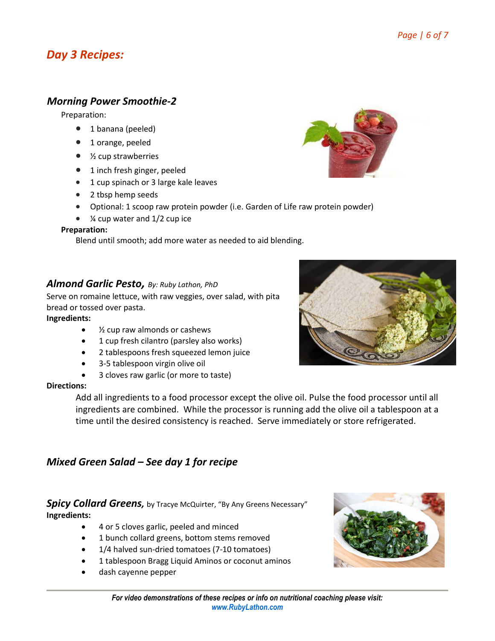# *Day 3 Recipes:*

## *Morning Power Smoothie-2*

Preparation:

- 1 banana (peeled)
- 1 orange, peeled
- $\bullet$  % cup strawberries
- 1 inch fresh ginger, peeled
- 1 cup spinach or 3 large kale leaves
- 2 tbsp hemp seeds
- Optional: 1 scoop raw protein powder (i.e. Garden of Life raw protein powder)
- $\bullet$  % cup water and 1/2 cup ice

#### **Preparation:**

Blend until smooth; add more water as needed to aid blending.

### *Almond Garlic Pesto, By: Ruby Lathon, PhD*

Serve on romaine lettuce, with raw veggies, over salad, with pita bread or tossed over pasta.

#### **Ingredients:**

- ½ cup raw almonds or cashews
- 1 cup fresh cilantro (parsley also works)
- 2 tablespoons fresh squeezed lemon juice
- 3-5 tablespoon virgin olive oil
- 3 cloves raw garlic (or more to taste)

#### **Directions:**

Add all ingredients to a food processor except the olive oil. Pulse the food processor until all ingredients are combined. While the processor is running add the olive oil a tablespoon at a time until the desired consistency is reached. Serve immediately or store refrigerated.

## *Mixed Green Salad – See day 1 for recipe*

**Spicy Collard Greens,** b[y Tracye McQuirter](http://byanygreensnecessary.com/09/13/kale-salad-recipe-dc-vegfest/), "By Any Greens Necessary" **Ingredients:**

- 4 or 5 cloves garlic, peeled and minced
- 1 bunch collard greens, bottom stems removed
- 1/4 halved sun-dried tomatoes (7-10 tomatoes)
- 1 tablespoon Bragg Liquid Aminos or coconut aminos
- dash cayenne pepper